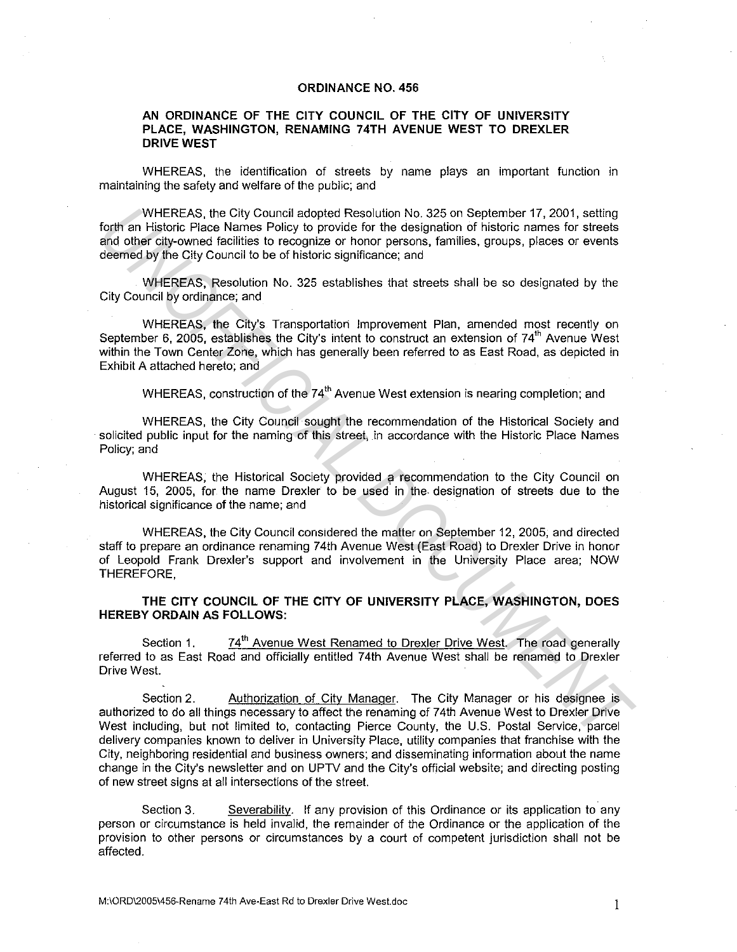## **ORDINANCE NO. 456**

## **AN ORDINANCE OF THE CITY COUNCIL OF THE CITY OF UNIVERSITY PLACE, WASHINGTON, RENAMING 74TH AVENUE WEST TO DREXLER DRIVE WEST**

WHEREAS, the identification of streets by name plays an important function in maintaining the safety and welfare of the public; and

WHEREAS, the City Council adopted Resolution No. 325 on September 17, 2001, setting forth an Historic Place Names Policy to provide for the designation of historic names for streets and other city-owned facilities to recognize or honor persons, families, groups, places or events deemed by the City Council to be of historic significance; and

WHEREAS, Resolution No. 325 establishes that streets shall be so designated by the City Council by ordinance; and

WHEREAS, the City's Transportation Improvement Plan, amended most recently on September 6, 2005, establishes the City's intent to construct an extension of 74<sup>th</sup> Avenue West within the Town Center Zone, which has generally been referred to as East Road, as depicted in Exhibit A attached hereto; and WHEREAS, the City Council adopted Resolution to, 325 on September 17, 2001, setting<br>
and other diversify the present of the designation of historic names for streets<br>
and other diversel from the city Council to be of histo

WHEREAS, construction of the 74<sup>th</sup> Avenue West extension is nearing completion; and

WHEREAS, the City Council sought the recommendation of the Historical Society and solicited public input for the naming of this street, in accordance with the Historic Place Names Policy; and

WHEREAS, the Historical Society provided a recommendation to the City Council on August 15, 2005, for the name Drexler to be used' in the. designation of streets due to the historical significance of the name; and

WHEREAS, the City Council considered the matter on September 12, 2005, and directed staff to prepare an ordinance renaming 74th Avenue West (East Road) to Drexler Drive in honor of Leopold Frank Drexler's support and involvement in the University Place area; NOW THEREFORE,

**THE CITY COUNCIL OF THE CITY OF UNIVERSITY PLACE, WASHINGTON, DOES HEREBY ORDAIN AS FOLLOWS:** 

Section 1. 74<sup>th</sup> Avenue West Renamed to Drexler Drive West. The road generally referred to as East Road and officially entitled 74th Avenue West shall be renamed to Drexler Drive West.

Section 2. Authorization of City Manager. The City Manager or his designee is authorized to do all things necessary to affect the renaming of 74th Avenue West to Drexler Drive West including, but not limited to, contacting Pierce County, the U.S. Postal Service, parcel delivery companies known to deliver in University Place, utility companies that franchise with the City, neighboring residential and business owners; and disseminating information about the name change in the City's newsletter and on UPTV and the City's official website; and directing posting of new street signs at all intersections of the street.

Section 3. Severability. If any provision of this Ordinance or its application to any person or circumstance is held invalid, the remainder of the Ordinance or the application of the provision to other persons or circumstances by a court of competent jurisdiction shall not be affected.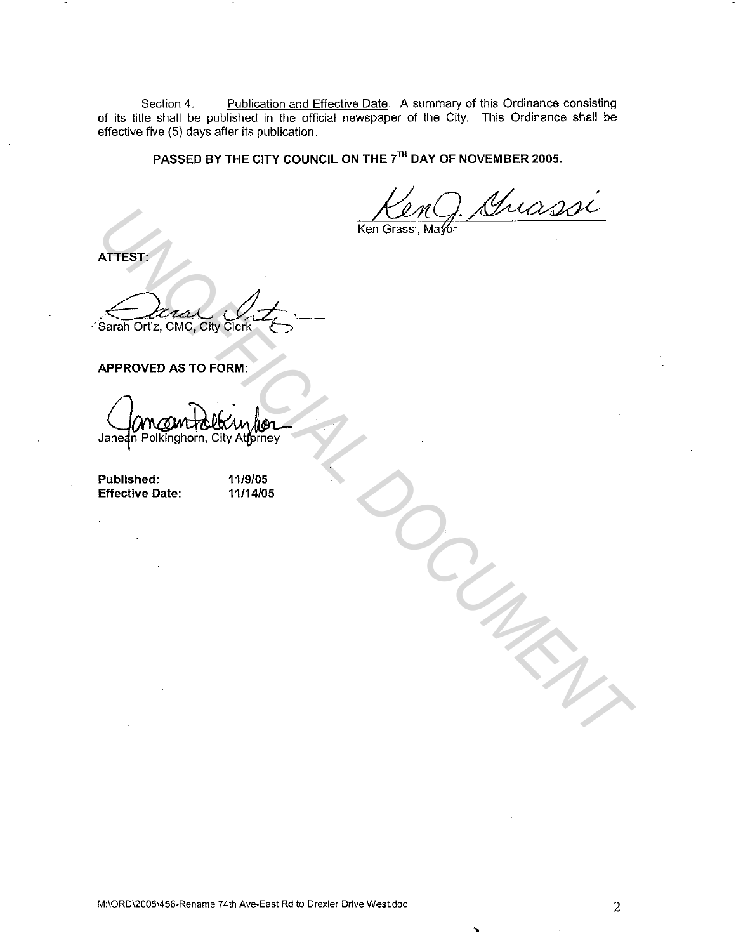Section 4. Publication and Effective Date. A summary of this Ordinance consisting of its title shall be published in the official newspaper of the City. This Ordinance shall be effective five (5) days after its publication.

**PASSED BY THE CITY COUNCIL ON THE 7TH DAY OF NOVEMBER 2005.** 

**ATTEST:** 

**APPROVED AS TO FORM:** 

ATTEST:<br>
SERIES CHARACTER CONTRACTES AND CONTRACTES ON CONTRACTES APPROVED AS TO FORM:<br>
APPROVED AS TO FORM:<br>
University Date: 119105<br>
Effective Date: 119105<br>
Effective Date: 1191405

**Published: Effective Date:**  **11/9/05 11/14/05** 

**M:\ORD\2005\456-Rename 74th Ave-East Rd to Drexler Drive West.doc** 2